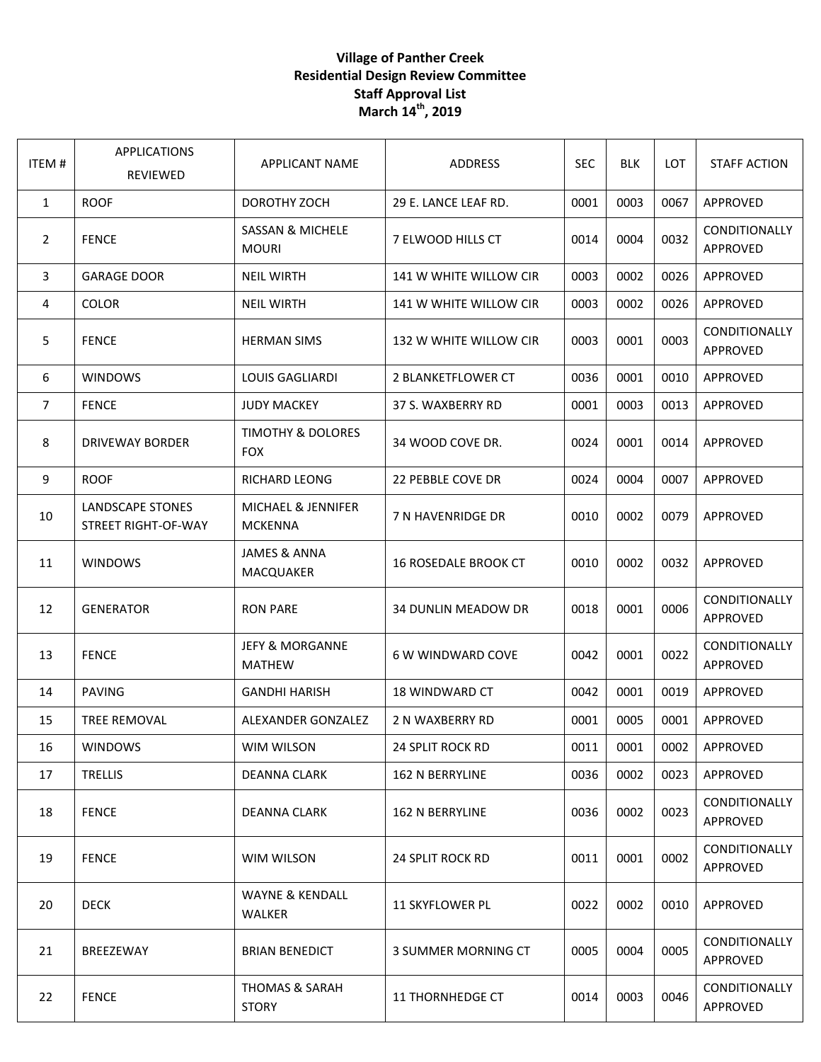## **Village of Panther Creek Residential Design Review Committee Staff Approval List March 14th, 2019**

| ITEM#          | <b>APPLICATIONS</b><br><b>REVIEWED</b>                | <b>APPLICANT NAME</b>                       | <b>ADDRESS</b>              | <b>SEC</b> | <b>BLK</b> | LOT. | <b>STAFF ACTION</b>              |
|----------------|-------------------------------------------------------|---------------------------------------------|-----------------------------|------------|------------|------|----------------------------------|
| 1              | <b>ROOF</b>                                           | DOROTHY ZOCH                                | 29 E. LANCE LEAF RD.        | 0001       | 0003       | 0067 | APPROVED                         |
| 2              | <b>FENCE</b>                                          | <b>SASSAN &amp; MICHELE</b><br><b>MOURI</b> | 7 ELWOOD HILLS CT           | 0014       | 0004       | 0032 | CONDITIONALLY<br>APPROVED        |
| 3              | <b>GARAGE DOOR</b>                                    | <b>NEIL WIRTH</b>                           | 141 W WHITE WILLOW CIR      | 0003       | 0002       | 0026 | APPROVED                         |
| 4              | <b>COLOR</b>                                          | <b>NEIL WIRTH</b>                           | 141 W WHITE WILLOW CIR      | 0003       | 0002       | 0026 | APPROVED                         |
| 5              | <b>FENCE</b>                                          | <b>HERMAN SIMS</b>                          | 132 W WHITE WILLOW CIR      | 0003       | 0001       | 0003 | CONDITIONALLY<br>APPROVED        |
| 6              | <b>WINDOWS</b>                                        | <b>LOUIS GAGLIARDI</b>                      | 2 BLANKETFLOWER CT          | 0036       | 0001       | 0010 | APPROVED                         |
| $\overline{7}$ | <b>FENCE</b>                                          | <b>JUDY MACKEY</b>                          | 37 S. WAXBERRY RD           | 0001       | 0003       | 0013 | APPROVED                         |
| 8              | <b>DRIVEWAY BORDER</b>                                | TIMOTHY & DOLORES<br><b>FOX</b>             | 34 WOOD COVE DR.            | 0024       | 0001       | 0014 | APPROVED                         |
| 9              | <b>ROOF</b>                                           | <b>RICHARD LEONG</b>                        | 22 PEBBLE COVE DR           | 0024       | 0004       | 0007 | <b>APPROVED</b>                  |
| 10             | <b>LANDSCAPE STONES</b><br><b>STREET RIGHT-OF-WAY</b> | MICHAEL & JENNIFER<br><b>MCKENNA</b>        | 7 N HAVENRIDGE DR           | 0010       | 0002       | 0079 | APPROVED                         |
| 11             | <b>WINDOWS</b>                                        | JAMES & ANNA<br>MACQUAKER                   | <b>16 ROSEDALE BROOK CT</b> | 0010       | 0002       | 0032 | APPROVED                         |
| 12             | <b>GENERATOR</b>                                      | <b>RON PARE</b>                             | <b>34 DUNLIN MEADOW DR</b>  | 0018       | 0001       | 0006 | CONDITIONALLY<br>APPROVED        |
| 13             | <b>FENCE</b>                                          | JEFY & MORGANNE<br><b>MATHEW</b>            | <b>6 W WINDWARD COVE</b>    | 0042       | 0001       | 0022 | CONDITIONALLY<br>APPROVED        |
| 14             | <b>PAVING</b>                                         | <b>GANDHI HARISH</b>                        | 18 WINDWARD CT              | 0042       | 0001       | 0019 | APPROVED                         |
| 15             | <b>TREE REMOVAL</b>                                   | ALEXANDER GONZALEZ                          | 2 N WAXBERRY RD             | 0001       | 0005       | 0001 | <b>APPROVED</b>                  |
| 16             | <b>WINDOWS</b>                                        | WIM WILSON                                  | 24 SPLIT ROCK RD            | 0011       | 0001       | 0002 | APPROVED                         |
| 17             | <b>TRELLIS</b>                                        | <b>DEANNA CLARK</b>                         | <b>162 N BERRYLINE</b>      | 0036       | 0002       | 0023 | APPROVED                         |
| 18             | <b>FENCE</b>                                          | <b>DEANNA CLARK</b>                         | <b>162 N BERRYLINE</b>      | 0036       | 0002       | 0023 | <b>CONDITIONALLY</b><br>APPROVED |
| 19             | <b>FENCE</b>                                          | WIM WILSON                                  | <b>24 SPLIT ROCK RD</b>     | 0011       | 0001       | 0002 | CONDITIONALLY<br>APPROVED        |
| 20             | <b>DECK</b>                                           | <b>WAYNE &amp; KENDALL</b><br><b>WALKER</b> | <b>11 SKYFLOWER PL</b>      | 0022       | 0002       | 0010 | APPROVED                         |
| 21             | BREEZEWAY                                             | <b>BRIAN BENEDICT</b>                       | 3 SUMMER MORNING CT         | 0005       | 0004       | 0005 | <b>CONDITIONALLY</b><br>APPROVED |
| 22             | <b>FENCE</b>                                          | <b>THOMAS &amp; SARAH</b><br><b>STORY</b>   | 11 THORNHEDGE CT            | 0014       | 0003       | 0046 | <b>CONDITIONALLY</b><br>APPROVED |